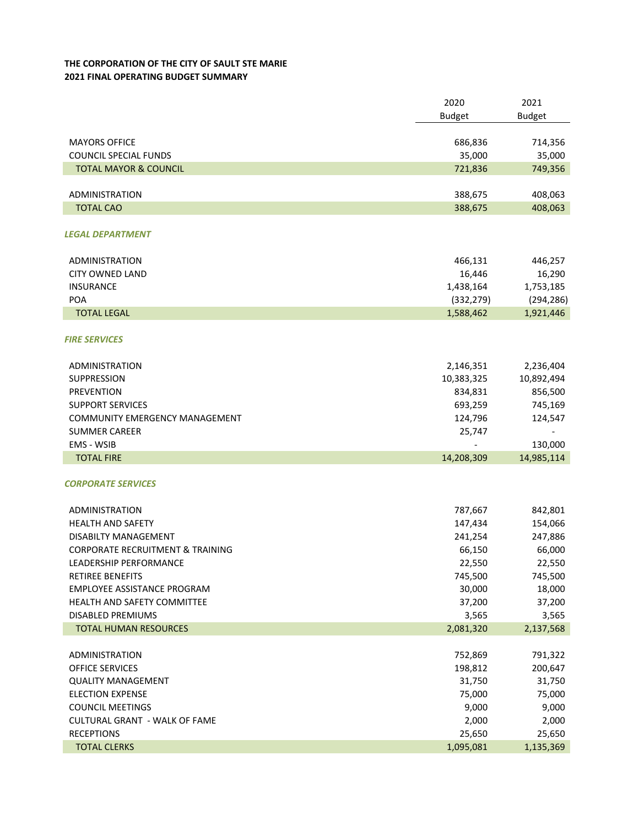## **THE CORPORATION OF THE CITY OF SAULT STE MARIE 2021 FINAL OPERATING BUDGET SUMMARY**

|                                                 | 2020               | 2021              |
|-------------------------------------------------|--------------------|-------------------|
|                                                 | <b>Budget</b>      | <b>Budget</b>     |
|                                                 |                    |                   |
| <b>MAYORS OFFICE</b>                            | 686,836            | 714,356           |
| <b>COUNCIL SPECIAL FUNDS</b>                    | 35,000             | 35,000            |
| <b>TOTAL MAYOR &amp; COUNCIL</b>                | 721,836            | 749,356           |
|                                                 |                    |                   |
| <b>ADMINISTRATION</b>                           | 388,675            | 408,063           |
| <b>TOTAL CAO</b>                                | 388,675            | 408,063           |
| <b>LEGAL DEPARTMENT</b>                         |                    |                   |
|                                                 |                    |                   |
| <b>ADMINISTRATION</b>                           | 466,131            | 446,257           |
| <b>CITY OWNED LAND</b>                          | 16,446             | 16,290            |
| <b>INSURANCE</b>                                | 1,438,164          | 1,753,185         |
| POA                                             | (332, 279)         | (294, 286)        |
| <b>TOTAL LEGAL</b>                              | 1,588,462          | 1,921,446         |
|                                                 |                    |                   |
| <b>FIRE SERVICES</b>                            |                    |                   |
|                                                 |                    |                   |
| <b>ADMINISTRATION</b>                           | 2,146,351          | 2,236,404         |
| <b>SUPPRESSION</b>                              | 10,383,325         | 10,892,494        |
| <b>PREVENTION</b>                               | 834,831            | 856,500           |
| <b>SUPPORT SERVICES</b>                         | 693,259            | 745,169           |
| COMMUNITY EMERGENCY MANAGEMENT                  | 124,796            | 124,547           |
| <b>SUMMER CAREER</b>                            | 25,747             |                   |
| <b>EMS - WSIB</b>                               |                    | 130,000           |
| <b>TOTAL FIRE</b>                               | 14,208,309         | 14,985,114        |
|                                                 |                    |                   |
| <b>CORPORATE SERVICES</b>                       |                    |                   |
| <b>ADMINISTRATION</b>                           | 787,667            | 842,801           |
| <b>HEALTH AND SAFETY</b>                        |                    | 154,066           |
| DISABILTY MANAGEMENT                            | 147,434<br>241,254 | 247,886           |
| <b>CORPORATE RECRUITMENT &amp; TRAINING</b>     |                    |                   |
|                                                 | 66,150             | 66,000            |
| LEADERSHIP PERFORMANCE                          | 22,550             | 22,550<br>745,500 |
| RETIREE BENEFITS<br>EMPLOYEE ASSISTANCE PROGRAM | 745,500            |                   |
| <b>HEALTH AND SAFETY COMMITTEE</b>              | 30,000             | 18,000            |
| <b>DISABLED PREMIUMS</b>                        | 37,200             | 37,200            |
|                                                 | 3,565              | 3,565             |
| <b>TOTAL HUMAN RESOURCES</b>                    | 2,081,320          | 2,137,568         |
| ADMINISTRATION                                  | 752,869            | 791,322           |
| OFFICE SERVICES                                 | 198,812            | 200,647           |
| <b>QUALITY MANAGEMENT</b>                       | 31,750             | 31,750            |
| <b>ELECTION EXPENSE</b>                         | 75,000             | 75,000            |
| <b>COUNCIL MEETINGS</b>                         | 9,000              | 9,000             |
| CULTURAL GRANT - WALK OF FAME                   | 2,000              | 2,000             |
| <b>RECEPTIONS</b>                               | 25,650             | 25,650            |
| <b>TOTAL CLERKS</b>                             | 1,095,081          | 1,135,369         |
|                                                 |                    |                   |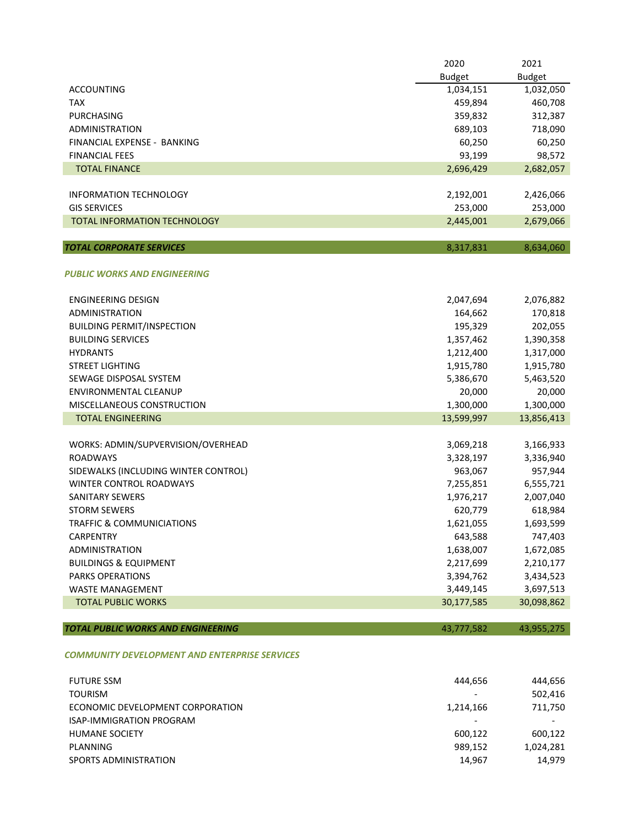| <b>Budget</b><br><b>Budget</b><br><b>ACCOUNTING</b><br>1,032,050<br>1,034,151<br><b>TAX</b><br>459,894<br>460,708<br><b>PURCHASING</b><br>359,832<br>312,387<br>689,103<br>718,090<br><b>ADMINISTRATION</b><br>60,250<br>FINANCIAL EXPENSE - BANKING<br>60,250<br>93,199<br>98,572<br><b>FINANCIAL FEES</b><br><b>TOTAL FINANCE</b><br>2,696,429<br>2,682,057<br>2,426,066<br>INFORMATION TECHNOLOGY<br>2,192,001<br>253,000<br>253,000<br><b>GIS SERVICES</b><br><b>TOTAL INFORMATION TECHNOLOGY</b><br>2,445,001<br>2,679,066<br>8,317,831<br>8,634,060<br><b>PUBLIC WORKS AND ENGINEERING</b><br><b>ENGINEERING DESIGN</b><br>2,076,882<br>2,047,694<br>170,818<br><b>ADMINISTRATION</b><br>164,662<br><b>BUILDING PERMIT/INSPECTION</b><br>202,055<br>195,329<br><b>BUILDING SERVICES</b><br>1,357,462<br>1,390,358<br><b>HYDRANTS</b><br>1,212,400<br>1,317,000<br><b>STREET LIGHTING</b><br>1,915,780<br>1,915,780<br>SEWAGE DISPOSAL SYSTEM<br>5,386,670<br>5,463,520<br>20,000<br>ENVIRONMENTAL CLEANUP<br>20,000<br>MISCELLANEOUS CONSTRUCTION<br>1,300,000<br>1,300,000<br><b>TOTAL ENGINEERING</b><br>13,599,997<br>13,856,413<br>WORKS: ADMIN/SUPVERVISION/OVERHEAD<br>3,069,218<br>3,166,933<br><b>ROADWAYS</b><br>3,328,197<br>3,336,940<br>SIDEWALKS (INCLUDING WINTER CONTROL)<br>963,067<br>957,944<br><b>WINTER CONTROL ROADWAYS</b><br>7,255,851<br>6,555,721<br>2,007,040<br><b>SANITARY SEWERS</b><br>1,976,217<br><b>STORM SEWERS</b><br>620,779<br>618,984<br>TRAFFIC & COMMUNICIATIONS<br>1,621,055<br>1,693,599<br>CARPENTRY<br>643,588<br>747,403<br>1,638,007<br><b>ADMINISTRATION</b><br>1,672,085<br><b>BUILDINGS &amp; EQUIPMENT</b><br>2,217,699<br>2,210,177<br><b>PARKS OPERATIONS</b><br>3,394,762<br>3,434,523<br><b>WASTE MANAGEMENT</b><br>3,449,145<br>3,697,513<br>30,177,585<br>30,098,862<br><b>TOTAL PUBLIC WORKS</b><br><b>TOTAL PUBLIC WORKS AND ENGINEERING</b><br>43,777,582<br>43,955,275 |                                 | 2020 | 2021 |
|------------------------------------------------------------------------------------------------------------------------------------------------------------------------------------------------------------------------------------------------------------------------------------------------------------------------------------------------------------------------------------------------------------------------------------------------------------------------------------------------------------------------------------------------------------------------------------------------------------------------------------------------------------------------------------------------------------------------------------------------------------------------------------------------------------------------------------------------------------------------------------------------------------------------------------------------------------------------------------------------------------------------------------------------------------------------------------------------------------------------------------------------------------------------------------------------------------------------------------------------------------------------------------------------------------------------------------------------------------------------------------------------------------------------------------------------------------------------------------------------------------------------------------------------------------------------------------------------------------------------------------------------------------------------------------------------------------------------------------------------------------------------------------------------------------------------------------------------------------------------------------------------------------------------------------------|---------------------------------|------|------|
|                                                                                                                                                                                                                                                                                                                                                                                                                                                                                                                                                                                                                                                                                                                                                                                                                                                                                                                                                                                                                                                                                                                                                                                                                                                                                                                                                                                                                                                                                                                                                                                                                                                                                                                                                                                                                                                                                                                                          |                                 |      |      |
|                                                                                                                                                                                                                                                                                                                                                                                                                                                                                                                                                                                                                                                                                                                                                                                                                                                                                                                                                                                                                                                                                                                                                                                                                                                                                                                                                                                                                                                                                                                                                                                                                                                                                                                                                                                                                                                                                                                                          |                                 |      |      |
|                                                                                                                                                                                                                                                                                                                                                                                                                                                                                                                                                                                                                                                                                                                                                                                                                                                                                                                                                                                                                                                                                                                                                                                                                                                                                                                                                                                                                                                                                                                                                                                                                                                                                                                                                                                                                                                                                                                                          |                                 |      |      |
|                                                                                                                                                                                                                                                                                                                                                                                                                                                                                                                                                                                                                                                                                                                                                                                                                                                                                                                                                                                                                                                                                                                                                                                                                                                                                                                                                                                                                                                                                                                                                                                                                                                                                                                                                                                                                                                                                                                                          |                                 |      |      |
|                                                                                                                                                                                                                                                                                                                                                                                                                                                                                                                                                                                                                                                                                                                                                                                                                                                                                                                                                                                                                                                                                                                                                                                                                                                                                                                                                                                                                                                                                                                                                                                                                                                                                                                                                                                                                                                                                                                                          |                                 |      |      |
|                                                                                                                                                                                                                                                                                                                                                                                                                                                                                                                                                                                                                                                                                                                                                                                                                                                                                                                                                                                                                                                                                                                                                                                                                                                                                                                                                                                                                                                                                                                                                                                                                                                                                                                                                                                                                                                                                                                                          |                                 |      |      |
|                                                                                                                                                                                                                                                                                                                                                                                                                                                                                                                                                                                                                                                                                                                                                                                                                                                                                                                                                                                                                                                                                                                                                                                                                                                                                                                                                                                                                                                                                                                                                                                                                                                                                                                                                                                                                                                                                                                                          |                                 |      |      |
|                                                                                                                                                                                                                                                                                                                                                                                                                                                                                                                                                                                                                                                                                                                                                                                                                                                                                                                                                                                                                                                                                                                                                                                                                                                                                                                                                                                                                                                                                                                                                                                                                                                                                                                                                                                                                                                                                                                                          |                                 |      |      |
|                                                                                                                                                                                                                                                                                                                                                                                                                                                                                                                                                                                                                                                                                                                                                                                                                                                                                                                                                                                                                                                                                                                                                                                                                                                                                                                                                                                                                                                                                                                                                                                                                                                                                                                                                                                                                                                                                                                                          |                                 |      |      |
|                                                                                                                                                                                                                                                                                                                                                                                                                                                                                                                                                                                                                                                                                                                                                                                                                                                                                                                                                                                                                                                                                                                                                                                                                                                                                                                                                                                                                                                                                                                                                                                                                                                                                                                                                                                                                                                                                                                                          |                                 |      |      |
|                                                                                                                                                                                                                                                                                                                                                                                                                                                                                                                                                                                                                                                                                                                                                                                                                                                                                                                                                                                                                                                                                                                                                                                                                                                                                                                                                                                                                                                                                                                                                                                                                                                                                                                                                                                                                                                                                                                                          |                                 |      |      |
|                                                                                                                                                                                                                                                                                                                                                                                                                                                                                                                                                                                                                                                                                                                                                                                                                                                                                                                                                                                                                                                                                                                                                                                                                                                                                                                                                                                                                                                                                                                                                                                                                                                                                                                                                                                                                                                                                                                                          |                                 |      |      |
|                                                                                                                                                                                                                                                                                                                                                                                                                                                                                                                                                                                                                                                                                                                                                                                                                                                                                                                                                                                                                                                                                                                                                                                                                                                                                                                                                                                                                                                                                                                                                                                                                                                                                                                                                                                                                                                                                                                                          |                                 |      |      |
|                                                                                                                                                                                                                                                                                                                                                                                                                                                                                                                                                                                                                                                                                                                                                                                                                                                                                                                                                                                                                                                                                                                                                                                                                                                                                                                                                                                                                                                                                                                                                                                                                                                                                                                                                                                                                                                                                                                                          | <b>TOTAL CORPORATE SERVICES</b> |      |      |
|                                                                                                                                                                                                                                                                                                                                                                                                                                                                                                                                                                                                                                                                                                                                                                                                                                                                                                                                                                                                                                                                                                                                                                                                                                                                                                                                                                                                                                                                                                                                                                                                                                                                                                                                                                                                                                                                                                                                          |                                 |      |      |
|                                                                                                                                                                                                                                                                                                                                                                                                                                                                                                                                                                                                                                                                                                                                                                                                                                                                                                                                                                                                                                                                                                                                                                                                                                                                                                                                                                                                                                                                                                                                                                                                                                                                                                                                                                                                                                                                                                                                          |                                 |      |      |
|                                                                                                                                                                                                                                                                                                                                                                                                                                                                                                                                                                                                                                                                                                                                                                                                                                                                                                                                                                                                                                                                                                                                                                                                                                                                                                                                                                                                                                                                                                                                                                                                                                                                                                                                                                                                                                                                                                                                          |                                 |      |      |
|                                                                                                                                                                                                                                                                                                                                                                                                                                                                                                                                                                                                                                                                                                                                                                                                                                                                                                                                                                                                                                                                                                                                                                                                                                                                                                                                                                                                                                                                                                                                                                                                                                                                                                                                                                                                                                                                                                                                          |                                 |      |      |
|                                                                                                                                                                                                                                                                                                                                                                                                                                                                                                                                                                                                                                                                                                                                                                                                                                                                                                                                                                                                                                                                                                                                                                                                                                                                                                                                                                                                                                                                                                                                                                                                                                                                                                                                                                                                                                                                                                                                          |                                 |      |      |
|                                                                                                                                                                                                                                                                                                                                                                                                                                                                                                                                                                                                                                                                                                                                                                                                                                                                                                                                                                                                                                                                                                                                                                                                                                                                                                                                                                                                                                                                                                                                                                                                                                                                                                                                                                                                                                                                                                                                          |                                 |      |      |
|                                                                                                                                                                                                                                                                                                                                                                                                                                                                                                                                                                                                                                                                                                                                                                                                                                                                                                                                                                                                                                                                                                                                                                                                                                                                                                                                                                                                                                                                                                                                                                                                                                                                                                                                                                                                                                                                                                                                          |                                 |      |      |
|                                                                                                                                                                                                                                                                                                                                                                                                                                                                                                                                                                                                                                                                                                                                                                                                                                                                                                                                                                                                                                                                                                                                                                                                                                                                                                                                                                                                                                                                                                                                                                                                                                                                                                                                                                                                                                                                                                                                          |                                 |      |      |
|                                                                                                                                                                                                                                                                                                                                                                                                                                                                                                                                                                                                                                                                                                                                                                                                                                                                                                                                                                                                                                                                                                                                                                                                                                                                                                                                                                                                                                                                                                                                                                                                                                                                                                                                                                                                                                                                                                                                          |                                 |      |      |
|                                                                                                                                                                                                                                                                                                                                                                                                                                                                                                                                                                                                                                                                                                                                                                                                                                                                                                                                                                                                                                                                                                                                                                                                                                                                                                                                                                                                                                                                                                                                                                                                                                                                                                                                                                                                                                                                                                                                          |                                 |      |      |
|                                                                                                                                                                                                                                                                                                                                                                                                                                                                                                                                                                                                                                                                                                                                                                                                                                                                                                                                                                                                                                                                                                                                                                                                                                                                                                                                                                                                                                                                                                                                                                                                                                                                                                                                                                                                                                                                                                                                          |                                 |      |      |
|                                                                                                                                                                                                                                                                                                                                                                                                                                                                                                                                                                                                                                                                                                                                                                                                                                                                                                                                                                                                                                                                                                                                                                                                                                                                                                                                                                                                                                                                                                                                                                                                                                                                                                                                                                                                                                                                                                                                          |                                 |      |      |
|                                                                                                                                                                                                                                                                                                                                                                                                                                                                                                                                                                                                                                                                                                                                                                                                                                                                                                                                                                                                                                                                                                                                                                                                                                                                                                                                                                                                                                                                                                                                                                                                                                                                                                                                                                                                                                                                                                                                          |                                 |      |      |
|                                                                                                                                                                                                                                                                                                                                                                                                                                                                                                                                                                                                                                                                                                                                                                                                                                                                                                                                                                                                                                                                                                                                                                                                                                                                                                                                                                                                                                                                                                                                                                                                                                                                                                                                                                                                                                                                                                                                          |                                 |      |      |
|                                                                                                                                                                                                                                                                                                                                                                                                                                                                                                                                                                                                                                                                                                                                                                                                                                                                                                                                                                                                                                                                                                                                                                                                                                                                                                                                                                                                                                                                                                                                                                                                                                                                                                                                                                                                                                                                                                                                          |                                 |      |      |
|                                                                                                                                                                                                                                                                                                                                                                                                                                                                                                                                                                                                                                                                                                                                                                                                                                                                                                                                                                                                                                                                                                                                                                                                                                                                                                                                                                                                                                                                                                                                                                                                                                                                                                                                                                                                                                                                                                                                          |                                 |      |      |
|                                                                                                                                                                                                                                                                                                                                                                                                                                                                                                                                                                                                                                                                                                                                                                                                                                                                                                                                                                                                                                                                                                                                                                                                                                                                                                                                                                                                                                                                                                                                                                                                                                                                                                                                                                                                                                                                                                                                          |                                 |      |      |
|                                                                                                                                                                                                                                                                                                                                                                                                                                                                                                                                                                                                                                                                                                                                                                                                                                                                                                                                                                                                                                                                                                                                                                                                                                                                                                                                                                                                                                                                                                                                                                                                                                                                                                                                                                                                                                                                                                                                          |                                 |      |      |
|                                                                                                                                                                                                                                                                                                                                                                                                                                                                                                                                                                                                                                                                                                                                                                                                                                                                                                                                                                                                                                                                                                                                                                                                                                                                                                                                                                                                                                                                                                                                                                                                                                                                                                                                                                                                                                                                                                                                          |                                 |      |      |
|                                                                                                                                                                                                                                                                                                                                                                                                                                                                                                                                                                                                                                                                                                                                                                                                                                                                                                                                                                                                                                                                                                                                                                                                                                                                                                                                                                                                                                                                                                                                                                                                                                                                                                                                                                                                                                                                                                                                          |                                 |      |      |
|                                                                                                                                                                                                                                                                                                                                                                                                                                                                                                                                                                                                                                                                                                                                                                                                                                                                                                                                                                                                                                                                                                                                                                                                                                                                                                                                                                                                                                                                                                                                                                                                                                                                                                                                                                                                                                                                                                                                          |                                 |      |      |
|                                                                                                                                                                                                                                                                                                                                                                                                                                                                                                                                                                                                                                                                                                                                                                                                                                                                                                                                                                                                                                                                                                                                                                                                                                                                                                                                                                                                                                                                                                                                                                                                                                                                                                                                                                                                                                                                                                                                          |                                 |      |      |
|                                                                                                                                                                                                                                                                                                                                                                                                                                                                                                                                                                                                                                                                                                                                                                                                                                                                                                                                                                                                                                                                                                                                                                                                                                                                                                                                                                                                                                                                                                                                                                                                                                                                                                                                                                                                                                                                                                                                          |                                 |      |      |
|                                                                                                                                                                                                                                                                                                                                                                                                                                                                                                                                                                                                                                                                                                                                                                                                                                                                                                                                                                                                                                                                                                                                                                                                                                                                                                                                                                                                                                                                                                                                                                                                                                                                                                                                                                                                                                                                                                                                          |                                 |      |      |
|                                                                                                                                                                                                                                                                                                                                                                                                                                                                                                                                                                                                                                                                                                                                                                                                                                                                                                                                                                                                                                                                                                                                                                                                                                                                                                                                                                                                                                                                                                                                                                                                                                                                                                                                                                                                                                                                                                                                          |                                 |      |      |
|                                                                                                                                                                                                                                                                                                                                                                                                                                                                                                                                                                                                                                                                                                                                                                                                                                                                                                                                                                                                                                                                                                                                                                                                                                                                                                                                                                                                                                                                                                                                                                                                                                                                                                                                                                                                                                                                                                                                          |                                 |      |      |
|                                                                                                                                                                                                                                                                                                                                                                                                                                                                                                                                                                                                                                                                                                                                                                                                                                                                                                                                                                                                                                                                                                                                                                                                                                                                                                                                                                                                                                                                                                                                                                                                                                                                                                                                                                                                                                                                                                                                          |                                 |      |      |
|                                                                                                                                                                                                                                                                                                                                                                                                                                                                                                                                                                                                                                                                                                                                                                                                                                                                                                                                                                                                                                                                                                                                                                                                                                                                                                                                                                                                                                                                                                                                                                                                                                                                                                                                                                                                                                                                                                                                          |                                 |      |      |
|                                                                                                                                                                                                                                                                                                                                                                                                                                                                                                                                                                                                                                                                                                                                                                                                                                                                                                                                                                                                                                                                                                                                                                                                                                                                                                                                                                                                                                                                                                                                                                                                                                                                                                                                                                                                                                                                                                                                          |                                 |      |      |

## *COMMUNITY DEVELOPMENT AND ENTERPRISE SERVICES*

| <b>FUTURE SSM</b>                | 444,656   | 444,656   |
|----------------------------------|-----------|-----------|
| <b>TOURISM</b>                   |           | 502,416   |
| ECONOMIC DEVELOPMENT CORPORATION | 1,214,166 | 711,750   |
| <b>ISAP-IMMIGRATION PROGRAM</b>  |           |           |
| <b>HUMANE SOCIETY</b>            | 600,122   | 600,122   |
| PLANNING                         | 989,152   | 1,024,281 |
| SPORTS ADMINISTRATION            | 14,967    | 14,979    |
|                                  |           |           |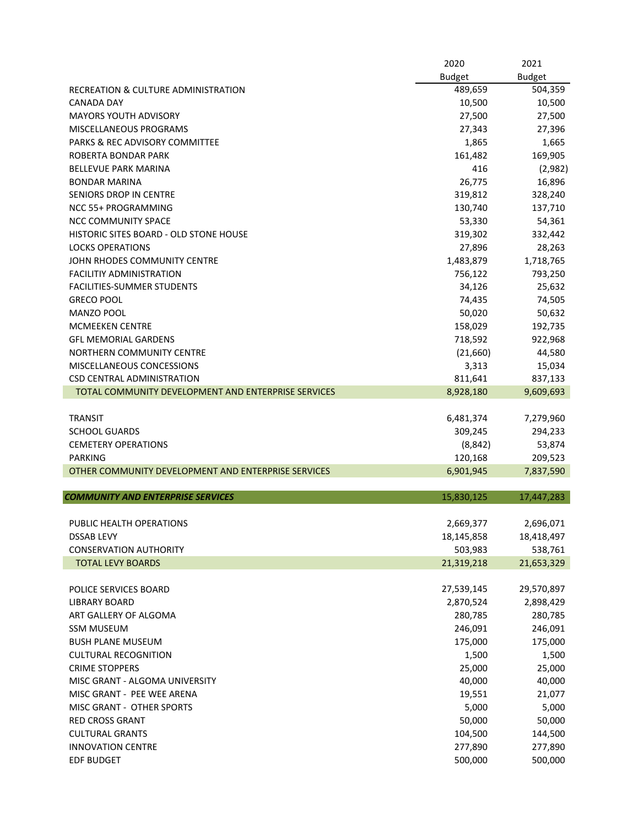|                                                     | 2020<br><b>Budget</b> | 2021<br><b>Budget</b> |
|-----------------------------------------------------|-----------------------|-----------------------|
| RECREATION & CULTURE ADMINISTRATION                 | 489,659               | 504,359               |
| <b>CANADA DAY</b>                                   | 10,500                | 10,500                |
| <b>MAYORS YOUTH ADVISORY</b>                        | 27,500                | 27,500                |
| MISCELLANEOUS PROGRAMS                              | 27,343                | 27,396                |
| PARKS & REC ADVISORY COMMITTEE                      | 1,865                 | 1,665                 |
| ROBERTA BONDAR PARK                                 | 161,482               | 169,905               |
| <b>BELLEVUE PARK MARINA</b>                         | 416                   | (2,982)               |
| <b>BONDAR MARINA</b>                                | 26,775                | 16,896                |
| <b>SENIORS DROP IN CENTRE</b>                       | 319,812               | 328,240               |
| NCC 55+ PROGRAMMING                                 | 130,740               | 137,710               |
| <b>NCC COMMUNITY SPACE</b>                          | 53,330                | 54,361                |
| HISTORIC SITES BOARD - OLD STONE HOUSE              | 319,302               | 332,442               |
| <b>LOCKS OPERATIONS</b>                             | 27,896                | 28,263                |
| JOHN RHODES COMMUNITY CENTRE                        | 1,483,879             | 1,718,765             |
| <b>FACILITIY ADMINISTRATION</b>                     | 756,122               | 793,250               |
| <b>FACILITIES-SUMMER STUDENTS</b>                   | 34,126                | 25,632                |
| <b>GRECO POOL</b>                                   | 74,435                | 74,505                |
| MANZO POOL                                          | 50,020                | 50,632                |
| <b>MCMEEKEN CENTRE</b>                              | 158,029               | 192,735               |
| <b>GFL MEMORIAL GARDENS</b>                         | 718,592               | 922,968               |
| NORTHERN COMMUNITY CENTRE                           | (21,660)              | 44,580                |
| MISCELLANEOUS CONCESSIONS                           | 3,313                 | 15,034                |
| CSD CENTRAL ADMINISTRATION                          | 811,641               | 837,133               |
| TOTAL COMMUNITY DEVELOPMENT AND ENTERPRISE SERVICES | 8,928,180             | 9,609,693             |
| <b>TRANSIT</b>                                      | 6,481,374             | 7,279,960             |
| <b>SCHOOL GUARDS</b>                                | 309,245               | 294,233               |
| <b>CEMETERY OPERATIONS</b>                          | (8, 842)              | 53,874                |
| <b>PARKING</b>                                      | 120,168               | 209,523               |
| OTHER COMMUNITY DEVELOPMENT AND ENTERPRISE SERVICES | 6,901,945             | 7,837,590             |
| <b>COMMUNITY AND ENTERPRISE SERVICES</b>            |                       |                       |
|                                                     | 15,830,125            | 17,447,283            |
| PUBLIC HEALTH OPERATIONS                            | 2,669,377             | 2,696,071             |
| <b>DSSAB LEVY</b>                                   | 18,145,858            | 18,418,497            |
| <b>CONSERVATION AUTHORITY</b>                       | 503,983               | 538,761               |
| <b>TOTAL LEVY BOARDS</b>                            | 21,319,218            | 21,653,329            |
|                                                     |                       |                       |
| POLICE SERVICES BOARD                               | 27,539,145            | 29,570,897            |
| <b>LIBRARY BOARD</b>                                | 2,870,524             | 2,898,429             |
| ART GALLERY OF ALGOMA                               | 280,785               | 280,785               |
| <b>SSM MUSEUM</b>                                   | 246,091               | 246,091               |
| <b>BUSH PLANE MUSEUM</b>                            | 175,000               | 175,000               |
| <b>CULTURAL RECOGNITION</b>                         | 1,500                 | 1,500                 |
| <b>CRIME STOPPERS</b>                               | 25,000                | 25,000                |
| MISC GRANT - ALGOMA UNIVERSITY                      | 40,000                | 40,000                |
| MISC GRANT - PEE WEE ARENA                          | 19,551                | 21,077                |
| MISC GRANT - OTHER SPORTS                           | 5,000                 | 5,000                 |
| <b>RED CROSS GRANT</b>                              | 50,000                | 50,000                |
| <b>CULTURAL GRANTS</b>                              | 104,500               | 144,500               |
| <b>INNOVATION CENTRE</b>                            | 277,890               | 277,890               |
| <b>EDF BUDGET</b>                                   | 500,000               | 500,000               |